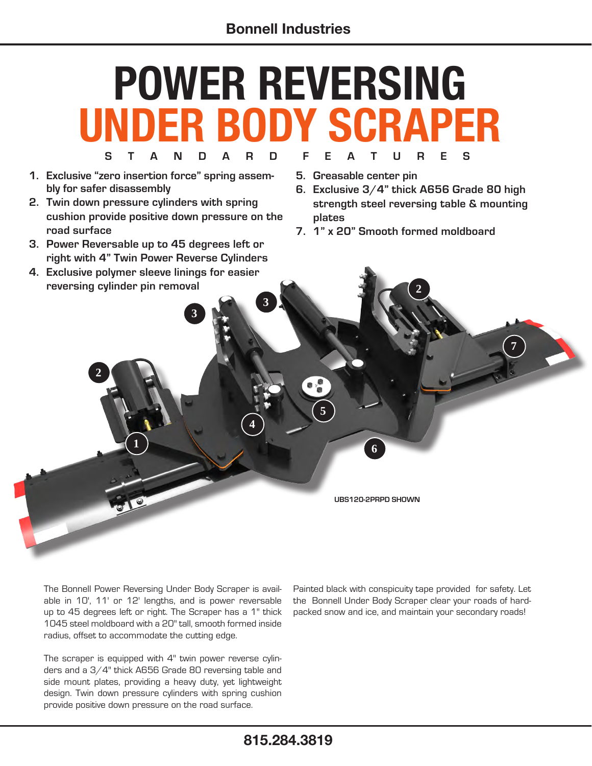## **S T A N D A R D F E A T U R E S POWER REVERSING UNDER BODY SCRAPER**

- **1. Exclusive "zero insertion force" spring assembly for safer disassembly**
- **2. Twin down pressure cylinders with spring cushion provide positive down pressure on the road surface**
- **3. Power Reversable up to 45 degrees left or right with 4" Twin Power Reverse Cylinders**
- **4. Exclusive polymer sleeve linings for easier reversing cylinder pin removal**

**1**

**2**

**3**

- **5. Greasable center pin**
- **6. Exclusive 3/4" thick A656 Grade 80 high strength steel reversing table & mounting plates**

**2**

**7**

**7. 1" x 20" Smooth formed moldboard**

**UBS120-2PRPD SHOWN**

**6**

**5**

**4**

**3**

The Bonnell Power Reversing Under Body Scraper is available in 10', 11' or 12' lengths, and is power reversable up to 45 degrees left or right. The Scraper has a 1" thick 1045 steel moldboard with a 20" tall, smooth formed inside radius, offset to accommodate the cutting edge.

The scraper is equipped with 4" twin power reverse cylinders and a 3/4" thick A656 Grade 80 reversing table and side mount plates, providing a heavy duty, yet lightweight design. Twin down pressure cylinders with spring cushion provide positive down pressure on the road surface.

Painted black with conspicuity tape provided for safety. Let the Bonnell Under Body Scraper clear your roads of hardpacked snow and ice, and maintain your secondary roads!